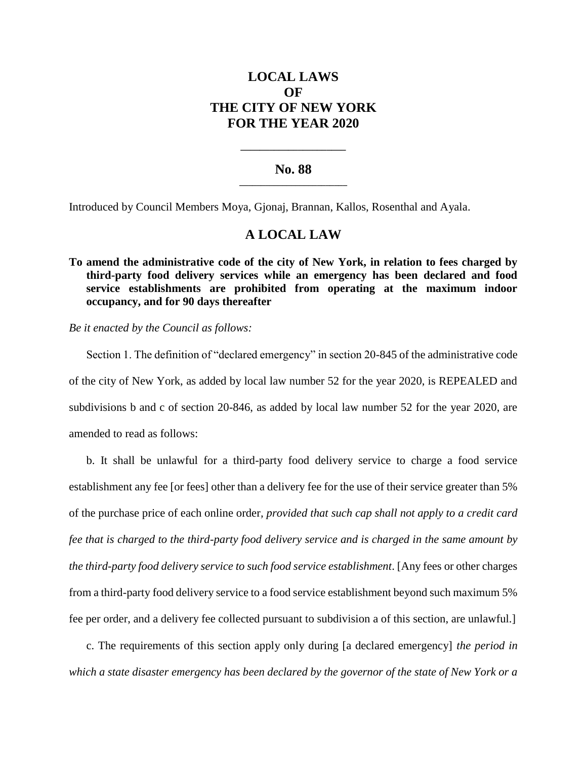# **LOCAL LAWS OF THE CITY OF NEW YORK FOR THE YEAR 2020**

### **No. 88 \_\_\_\_\_\_\_\_\_\_\_\_\_\_\_\_\_\_\_\_\_\_\_\_\_**

**\_\_\_\_\_\_\_\_\_\_\_\_\_\_\_\_\_\_\_\_\_\_**

Introduced by Council Members Moya, Gjonaj, Brannan, Kallos, Rosenthal and Ayala.

## **A LOCAL LAW**

**To amend the administrative code of the city of New York, in relation to fees charged by third-party food delivery services while an emergency has been declared and food service establishments are prohibited from operating at the maximum indoor occupancy, and for 90 days thereafter**

*Be it enacted by the Council as follows:*

Section 1. The definition of "declared emergency" in section 20-845 of the administrative code of the city of New York, as added by local law number 52 for the year 2020, is REPEALED and subdivisions b and c of section 20-846, as added by local law number 52 for the year 2020, are amended to read as follows:

b. It shall be unlawful for a third-party food delivery service to charge a food service establishment any fee [or fees] other than a delivery fee for the use of their service greater than 5% of the purchase price of each online order*, provided that such cap shall not apply to a credit card fee that is charged to the third-party food delivery service and is charged in the same amount by the third-party food delivery service to such food service establishment*. [Any fees or other charges from a third-party food delivery service to a food service establishment beyond such maximum 5% fee per order, and a delivery fee collected pursuant to subdivision a of this section, are unlawful.]

c. The requirements of this section apply only during [a declared emergency] *the period in which a state disaster emergency has been declared by the governor of the state of New York or a*